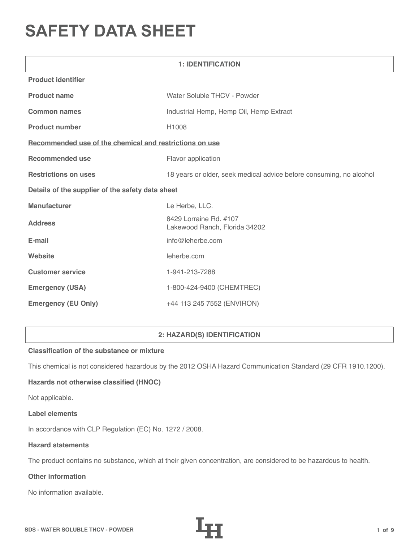# **SAFETY DATA SHEET**

| <b>1: IDENTIFICATION</b>                                |                                                                     |  |
|---------------------------------------------------------|---------------------------------------------------------------------|--|
| <b>Product identifier</b>                               |                                                                     |  |
| <b>Product name</b>                                     | Water Soluble THCV - Powder                                         |  |
| <b>Common names</b>                                     | Industrial Hemp, Hemp Oil, Hemp Extract                             |  |
| <b>Product number</b>                                   | H1008                                                               |  |
| Recommended use of the chemical and restrictions on use |                                                                     |  |
| <b>Recommended use</b>                                  | Flavor application                                                  |  |
| <b>Restrictions on uses</b>                             | 18 years or older, seek medical advice before consuming, no alcohol |  |
| Details of the supplier of the safety data sheet        |                                                                     |  |
| <b>Manufacturer</b>                                     | Le Herbe, LLC.                                                      |  |
| <b>Address</b>                                          | 8429 Lorraine Rd. #107<br>Lakewood Ranch, Florida 34202             |  |
| E-mail                                                  | info@leherbe.com                                                    |  |
| Website                                                 | leherbe.com                                                         |  |
| <b>Customer service</b>                                 | 1-941-213-7288                                                      |  |
| <b>Emergency (USA)</b>                                  | 1-800-424-9400 (CHEMTREC)                                           |  |
| <b>Emergency (EU Only)</b>                              | +44 113 245 7552 (ENVIRON)                                          |  |

# **2: HAZARD(S) IDENTIFICATION**

# **Classification of the substance or mixture**

This chemical is not considered hazardous by the 2012 OSHA Hazard Communication Standard (29 CFR 1910.1200).

# **Hazards not otherwise classified (HNOC)**

Not applicable.

#### **Label elements**

In accordance with CLP Regulation (EC) No. 1272 / 2008.

#### **Hazard statements**

The product contains no substance, which at their given concentration, are considered to be hazardous to health.

# **Other information**

No information available.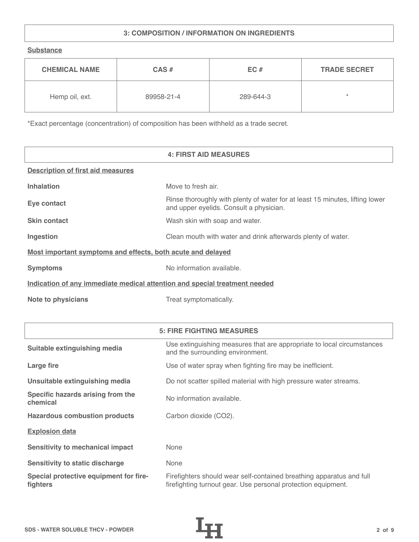# **3: COMPOSITION / INFORMATION ON INGREDIENTS**

**Substance**

| <b>CHEMICAL NAME</b> | $CAS \#$   | EC#       | <b>TRADE SECRET</b> |
|----------------------|------------|-----------|---------------------|
| Hemp oil, ext.       | 89958-21-4 | 289-644-3 | $\star$             |

\*Exact percentage (concentration) of composition has been withheld as a trade secret.

|                                                                            | <b>4: FIRST AID MEASURES</b>                                                                                            |  |
|----------------------------------------------------------------------------|-------------------------------------------------------------------------------------------------------------------------|--|
| <b>Description of first aid measures</b>                                   |                                                                                                                         |  |
| <b>Inhalation</b>                                                          | Move to fresh air.                                                                                                      |  |
| Eye contact                                                                | Rinse thoroughly with plenty of water for at least 15 minutes, lifting lower<br>and upper eyelids. Consult a physician. |  |
| <b>Skin contact</b>                                                        | Wash skin with soap and water.                                                                                          |  |
| Ingestion                                                                  | Clean mouth with water and drink afterwards plenty of water.                                                            |  |
| Most important symptoms and effects, both acute and delayed                |                                                                                                                         |  |
| <b>Symptoms</b>                                                            | No information available.                                                                                               |  |
| Indication of any immediate medical attention and special treatment needed |                                                                                                                         |  |
| <b>Note to physicians</b>                                                  | Treat symptomatically.                                                                                                  |  |

|                                                    | <b>5: FIRE FIGHTING MEASURES</b>                                                                                                      |
|----------------------------------------------------|---------------------------------------------------------------------------------------------------------------------------------------|
| Suitable extinguishing media                       | Use extinguishing measures that are appropriate to local circumstances<br>and the surrounding environment.                            |
| Large fire                                         | Use of water spray when fighting fire may be inefficient.                                                                             |
| Unsuitable extinguishing media                     | Do not scatter spilled material with high pressure water streams.                                                                     |
| Specific hazards arising from the<br>chemical      | No information available.                                                                                                             |
| <b>Hazardous combustion products</b>               | Carbon dioxide (CO2).                                                                                                                 |
| <b>Explosion data</b>                              |                                                                                                                                       |
| <b>Sensitivity to mechanical impact</b>            | None                                                                                                                                  |
| <b>Sensitivity to static discharge</b>             | None                                                                                                                                  |
| Special protective equipment for fire-<br>fighters | Firefighters should wear self-contained breathing apparatus and full<br>firefighting turnout gear. Use personal protection equipment. |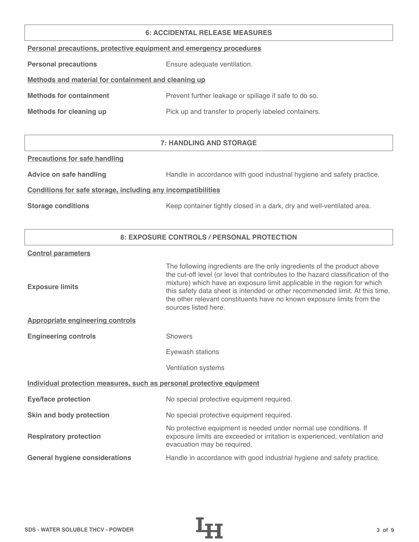#### **6: ACCIDENTAL RELEASE MEASURES**

|  |  | Personal precautions, protective equipment and emergency procedures |  |
|--|--|---------------------------------------------------------------------|--|
|  |  |                                                                     |  |

**Personal precautions** Ensure adequate ventilation.

# **Methods and material for containment and cleaning up**

| <b>Methods for containment</b> | Prevent further leakage or spillage if safe to do so. |
|--------------------------------|-------------------------------------------------------|
|                                |                                                       |

**Methods for cleaning up Pick up and transfer to properly labeled containers.** 

# **7: HANDLING AND STORAGE**

#### **Precautions for safe handling**

Advice on safe handling **Handle in accordance with good industrial hygiene and safety practice.** 

## **Conditions for safe storage, including any incompatibilities**

**Storage conditions** Keep container tightly closed in a dark, dry and well-ventilated area.

## **8: EXPOSURE CONTROLS / PERSONAL PROTECTION**

#### **Control parameters**

| The following ingredients are the only ingredients of the product above<br>the cut-off level (or level that contributes to the hazard classification of the<br>mixture) which have an exposure limit applicable in the region for which<br>this safety data sheet is intended or other recommended limit. At this time,<br>the other relevant constituents have no known exposure limits from the<br>sources listed here. |  |  |
|---------------------------------------------------------------------------------------------------------------------------------------------------------------------------------------------------------------------------------------------------------------------------------------------------------------------------------------------------------------------------------------------------------------------------|--|--|
|                                                                                                                                                                                                                                                                                                                                                                                                                           |  |  |
| <b>Showers</b>                                                                                                                                                                                                                                                                                                                                                                                                            |  |  |
| Eyewash stations                                                                                                                                                                                                                                                                                                                                                                                                          |  |  |
| Ventilation systems                                                                                                                                                                                                                                                                                                                                                                                                       |  |  |
| Individual protection measures, such as personal protective equipment                                                                                                                                                                                                                                                                                                                                                     |  |  |
| No special protective equipment required.                                                                                                                                                                                                                                                                                                                                                                                 |  |  |
| No special protective equipment required.                                                                                                                                                                                                                                                                                                                                                                                 |  |  |
| No protective equipment is needed under normal use conditions. If<br>exposure limits are exceeded or irritation is experienced, ventilation and<br>evacuation may be required.                                                                                                                                                                                                                                            |  |  |
| Handle in accordance with good industrial hygiene and safety practice.                                                                                                                                                                                                                                                                                                                                                    |  |  |
|                                                                                                                                                                                                                                                                                                                                                                                                                           |  |  |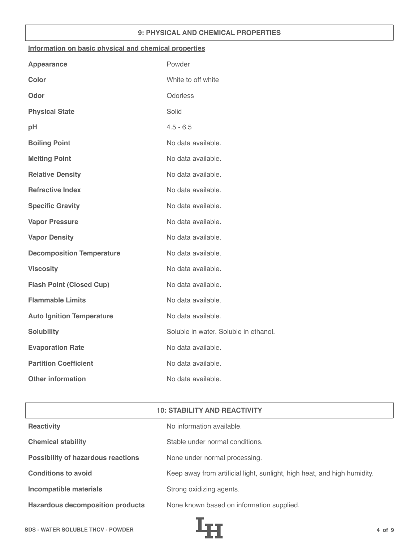## **9: PHYSICAL AND CHEMICAL PROPERTIES**

#### **Information on basic physical and chemical properties**

| Powder                                |
|---------------------------------------|
| White to off white                    |
| Odorless                              |
| Solid                                 |
| $4.5 - 6.5$                           |
| No data available.                    |
| No data available.                    |
| No data available.                    |
| No data available.                    |
| No data available.                    |
| No data available.                    |
| No data available.                    |
| No data available.                    |
| No data available.                    |
| No data available.                    |
| No data available.                    |
| No data available.                    |
| Soluble in water. Soluble in ethanol. |
| No data available.                    |
| No data available.                    |
| No data available.                    |
|                                       |

| <b>10: STABILITY AND REACTIVITY</b>       |                                                                          |  |
|-------------------------------------------|--------------------------------------------------------------------------|--|
| <b>Reactivity</b>                         | No information available.                                                |  |
| <b>Chemical stability</b>                 | Stable under normal conditions.                                          |  |
| <b>Possibility of hazardous reactions</b> | None under normal processing.                                            |  |
| <b>Conditions to avoid</b>                | Keep away from artificial light, sunlight, high heat, and high humidity. |  |
| <b>Incompatible materials</b>             | Strong oxidizing agents.                                                 |  |
| <b>Hazardous decomposition products</b>   | None known based on information supplied.                                |  |

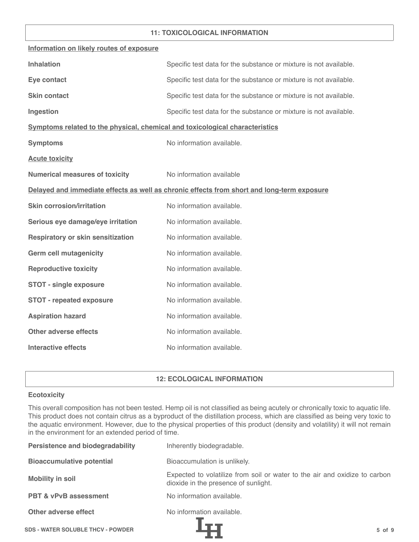## **11: TOXICOLOGICAL INFORMATION**

| Information on likely routes of exposure                                                   |                                                                   |  |
|--------------------------------------------------------------------------------------------|-------------------------------------------------------------------|--|
| <b>Inhalation</b>                                                                          | Specific test data for the substance or mixture is not available. |  |
| Eye contact                                                                                | Specific test data for the substance or mixture is not available. |  |
| <b>Skin contact</b>                                                                        | Specific test data for the substance or mixture is not available. |  |
| Ingestion                                                                                  | Specific test data for the substance or mixture is not available. |  |
| Symptoms related to the physical, chemical and toxicological characteristics               |                                                                   |  |
| <b>Symptoms</b>                                                                            | No information available.                                         |  |
| <b>Acute toxicity</b>                                                                      |                                                                   |  |
| <b>Numerical measures of toxicity</b>                                                      | No information available                                          |  |
| Delayed and immediate effects as well as chronic effects from short and long-term exposure |                                                                   |  |
| <b>Skin corrosion/irritation</b>                                                           | No information available.                                         |  |
| Serious eye damage/eye irritation                                                          | No information available.                                         |  |
| <b>Respiratory or skin sensitization</b>                                                   | No information available.                                         |  |
| <b>Germ cell mutagenicity</b>                                                              | No information available.                                         |  |
| <b>Reproductive toxicity</b>                                                               | No information available.                                         |  |
| <b>STOT - single exposure</b>                                                              | No information available.                                         |  |
| <b>STOT - repeated exposure</b>                                                            | No information available.                                         |  |
| <b>Aspiration hazard</b>                                                                   | No information available.                                         |  |
| <b>Other adverse effects</b>                                                               | No information available.                                         |  |
| <b>Interactive effects</b>                                                                 | No information available.                                         |  |

## **12: ECOLOGICAL INFORMATION**

#### **Ecotoxicity**

This overall composition has not been tested. Hemp oil is not classified as being acutely or chronically toxic to aquatic life. This product does not contain citrus as a byproduct of the distillation process, which are classified as being very toxic to the aquatic environment. However, due to the physical properties of this product (density and volatility) it will not remain in the environment for an extended period of time.

| <b>Persistence and biodegradability</b>  | Inherently biodegradable.                                                                                          |
|------------------------------------------|--------------------------------------------------------------------------------------------------------------------|
| <b>Bioaccumulative potential</b>         | Bioaccumulation is unlikely.                                                                                       |
| <b>Mobility in soil</b>                  | Expected to volatilize from soil or water to the air and oxidize to carbon<br>dioxide in the presence of sunlight. |
| <b>PBT &amp; vPvB assessment</b>         | No information available.                                                                                          |
| Other adverse effect                     | No information available.                                                                                          |
| <b>SDS - WATER SOLUBLE THCV - POWDER</b> | $5$ of $9$                                                                                                         |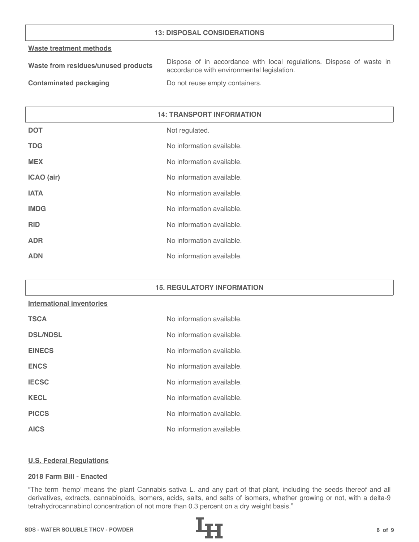## **13: DISPOSAL CONSIDERATIONS**

#### **Waste treatment methods**

| Waste from residues/unused products | Dispose of in accordance with local regulations. Dispose of waste in |
|-------------------------------------|----------------------------------------------------------------------|
|                                     | accordance with environmental legislation.                           |
| _____                               |                                                                      |

**Contaminated packaging The Contaminated packaging Containers.** 

| <b>14: TRANSPORT INFORMATION</b> |                           |
|----------------------------------|---------------------------|
| <b>DOT</b>                       | Not regulated.            |
| <b>TDG</b>                       | No information available. |
| <b>MEX</b>                       | No information available. |
| ICAO (air)                       | No information available. |
| <b>IATA</b>                      | No information available. |
| <b>IMDG</b>                      | No information available. |
| <b>RID</b>                       | No information available. |
| <b>ADR</b>                       | No information available. |
| <b>ADN</b>                       | No information available. |

#### **15. REGULATORY INFORMATION**

## **International inventories**

| <b>TSCA</b>     | No information available. |
|-----------------|---------------------------|
| <b>DSL/NDSL</b> | No information available. |
| <b>EINECS</b>   | No information available. |
| <b>ENCS</b>     | No information available. |
| <b>IECSC</b>    | No information available. |
| <b>KECL</b>     | No information available. |
| <b>PICCS</b>    | No information available. |
| <b>AICS</b>     | No information available. |

#### **U.S. Federal Regulations**

## **2018 Farm Bill - Enacted**

"The term 'hemp' means the plant Cannabis sativa L. and any part of that plant, including the seeds thereof and all derivatives, extracts, cannabinoids, isomers, acids, salts, and salts of isomers, whether growing or not, with a delta-9 tetrahydrocannabinol concentration of not more than 0.3 percent on a dry weight basis."

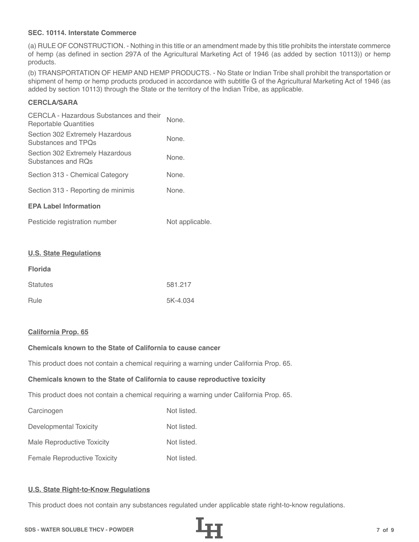## **SEC. 10114. Interstate Commerce**

(a) RULE OF CONSTRUCTION. - Nothing in this title or an amendment made by this title prohibits the interstate commerce of hemp (as defined in section 297A of the Agricultural Marketing Act of 1946 (as added by section 10113)) or hemp products.

(b) TRANSPORTATION OF HEMP AND HEMP PRODUCTS. - No State or Indian Tribe shall prohibit the transportation or shipment of hemp or hemp products produced in accordance with subtitle G of the Agricultural Marketing Act of 1946 (as added by section 10113) through the State or the territory of the Indian Tribe, as applicable.

# **CERCLA/SARA**

| CERCLA - Hazardous Substances and their<br>Reportable Quantities | None. |
|------------------------------------------------------------------|-------|
| Section 302 Extremely Hazardous<br>Substances and TPOs           | None. |
| Section 302 Extremely Hazardous<br>Substances and ROs            | None. |
| Section 313 - Chemical Category                                  | None. |
| Section 313 - Reporting de minimis                               | None. |
| <b>EPA Label Information</b>                                     |       |
|                                                                  |       |

| Pesticide registration number | Not applicable. |
|-------------------------------|-----------------|
|-------------------------------|-----------------|

#### **U.S. State Regulations**

| <b>Florida</b>  |          |
|-----------------|----------|
| <b>Statutes</b> | 581.217  |
| Rule            | 5K-4.034 |

#### **California Prop. 65**

# **Chemicals known to the State of California to cause cancer**

This product does not contain a chemical requiring a warning under California Prop. 65.

#### **Chemicals known to the State of California to cause reproductive toxicity**

This product does not contain a chemical requiring a warning under California Prop. 65.

| Carcinogen                          | Not listed. |
|-------------------------------------|-------------|
| Developmental Toxicity              | Not listed. |
| Male Reproductive Toxicity          | Not listed. |
| <b>Female Reproductive Toxicity</b> | Not listed. |

## **U.S. State Right-to-Know Regulations**

This product does not contain any substances regulated under applicable state right-to-know regulations.

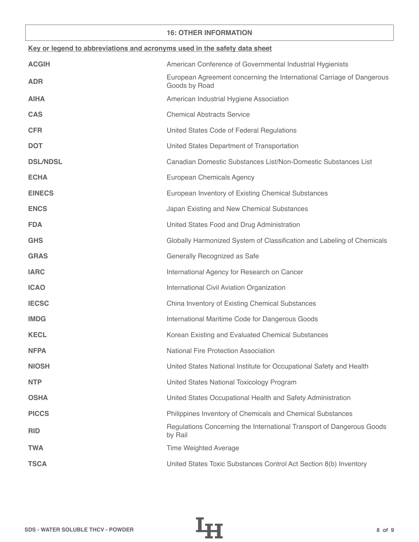## **16: OTHER INFORMATION**

| Key or legend to abbreviations and acronyms used in the safety data sheet |                                                                                        |  |
|---------------------------------------------------------------------------|----------------------------------------------------------------------------------------|--|
| <b>ACGIH</b>                                                              | American Conference of Governmental Industrial Hygienists                              |  |
| <b>ADR</b>                                                                | European Agreement concerning the International Carriage of Dangerous<br>Goods by Road |  |
| <b>AIHA</b>                                                               | American Industrial Hygiene Association                                                |  |
| <b>CAS</b>                                                                | <b>Chemical Abstracts Service</b>                                                      |  |
| <b>CFR</b>                                                                | United States Code of Federal Regulations                                              |  |
| <b>DOT</b>                                                                | United States Department of Transportation                                             |  |
| <b>DSL/NDSL</b>                                                           | Canadian Domestic Substances List/Non-Domestic Substances List                         |  |
| <b>ECHA</b>                                                               | European Chemicals Agency                                                              |  |
| <b>EINECS</b>                                                             | European Inventory of Existing Chemical Substances                                     |  |
| <b>ENCS</b>                                                               | Japan Existing and New Chemical Substances                                             |  |
| <b>FDA</b>                                                                | United States Food and Drug Administration                                             |  |
| <b>GHS</b>                                                                | Globally Harmonized System of Classification and Labeling of Chemicals                 |  |
| <b>GRAS</b>                                                               | Generally Recognized as Safe                                                           |  |
| <b>IARC</b>                                                               | International Agency for Research on Cancer                                            |  |
| <b>ICAO</b>                                                               | International Civil Aviation Organization                                              |  |
| <b>IECSC</b>                                                              | China Inventory of Existing Chemical Substances                                        |  |
| <b>IMDG</b>                                                               | International Maritime Code for Dangerous Goods                                        |  |
| <b>KECL</b>                                                               | Korean Existing and Evaluated Chemical Substances                                      |  |
| <b>NFPA</b>                                                               | <b>National Fire Protection Association</b>                                            |  |
| <b>NIOSH</b>                                                              | United States National Institute for Occupational Safety and Health                    |  |
| <b>NTP</b>                                                                | United States National Toxicology Program                                              |  |
| <b>OSHA</b>                                                               | United States Occupational Health and Safety Administration                            |  |
| <b>PICCS</b>                                                              | Philippines Inventory of Chemicals and Chemical Substances                             |  |
| <b>RID</b>                                                                | Regulations Concerning the International Transport of Dangerous Goods<br>by Rail       |  |
| <b>TWA</b>                                                                | <b>Time Weighted Average</b>                                                           |  |
| <b>TSCA</b>                                                               | United States Toxic Substances Control Act Section 8(b) Inventory                      |  |